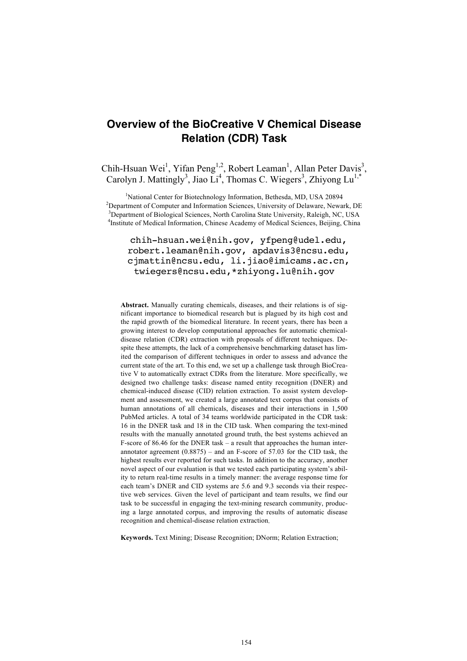# **Overview of the BioCreative V Chemical Disease Relation (CDR) Task**

Chih-Hsuan Wei<sup>1</sup>, Yifan Peng<sup>1,2</sup>, Robert Leaman<sup>1</sup>, Allan Peter Davis<sup>3</sup>, Carolyn J. Mattingly<sup>3</sup>, Jiao Li<sup>4</sup>, Thomas C. Wiegers<sup>3</sup>, Zhiyong Lu<sup>1,\*</sup>

<sup>1</sup>National Center for Biotechnology Information, Bethesda, MD, USA 20894 <sup>2</sup>Department of Computer and Information Sciences, University of Delaware, Newark, DE <sup>3</sup>Department of Biological Sciences, North Carolina State University, Raleigh, NC, USA <sup>4</sup>Institute of Medical Information, Chinese Academy of Medical Sciences, Beijing, China

chih-hsuan.wei@nih.gov, yfpeng@udel.edu, robert.leaman@nih.gov, apdavis3@ncsu.edu, cjmattin@ncsu.edu, li.jiao@imicams.ac.cn, twiegers@ncsu.edu,\*zhiyong.lu@nih.gov

Abstract. Manually curating chemicals, diseases, and their relations is of significant importance to biomedical research but is plagued by its high cost and the rapid growth of the biomedical literature. In recent years, there has been a growing interest to develop computational approaches for automatic chemicaldisease relation (CDR) extraction with proposals of different techniques. Despite these attempts, the lack of a comprehensive benchmarking dataset has limited the comparison of different techniques in order to assess and advance the current state of the art. To this end, we set up a challenge task through BioCreative V to automatically extract CDRs from the literature. More specifically, we designed two challenge tasks: disease named entity recognition (DNER) and chemical-induced disease (CID) relation extraction. To assist system development and assessment, we created a large annotated text corpus that consists of human annotations of all chemicals, diseases and their interactions in 1,500 PubMed articles. A total of 34 teams worldwide participated in the CDR task: 16 in the DNER task and 18 in the CID task. When comparing the text-mined results with the manually annotated ground truth, the best systems achieved an F-score of 86.46 for the DNER task – a result that approaches the human interannotator agreement  $(0.8875)$  – and an F-score of 57.03 for the CID task, the highest results ever reported for such tasks. In addition to the accuracy, another novel aspect of our evaluation is that we tested each participating system's ability to return real-time results in a timely manner: the average response time for each team's DNER and CID systems are 5.6 and 9.3 seconds via their respective web services. Given the level of participant and team results, we find our task to be successful in engaging the text-mining research community, producing a large annotated corpus, and improving the results of automatic disease recognition and chemical-disease relation extraction.

**Keywords.** Text Mining; Disease Recognition; DNorm; Relation Extraction;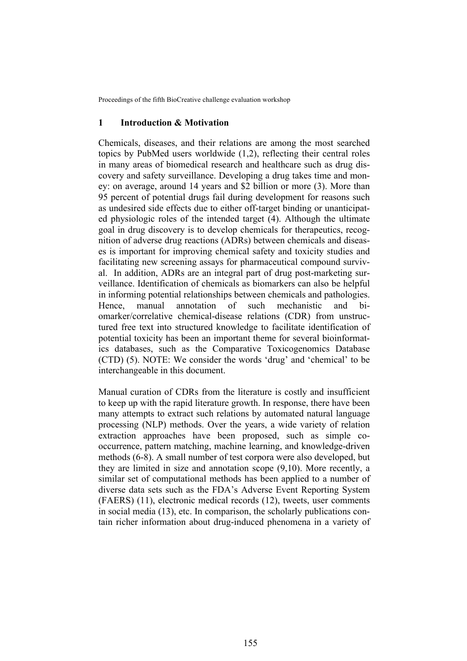### **1 Introduction & Motivation**

Chemicals, diseases, and their relations are among the most searched topics by PubMed users worldwide (1,2), reflecting their central roles in many areas of biomedical research and healthcare such as drug discovery and safety surveillance. Developing a drug takes time and money: on average, around 14 years and \$2 billion or more (3). More than 95 percent of potential drugs fail during development for reasons such as undesired side effects due to either off-target binding or unanticipated physiologic roles of the intended target (4). Although the ultimate goal in drug discovery is to develop chemicals for therapeutics, recognition of adverse drug reactions (ADRs) between chemicals and diseases is important for improving chemical safety and toxicity studies and facilitating new screening assays for pharmaceutical compound survival. In addition, ADRs are an integral part of drug post-marketing surveillance. Identification of chemicals as biomarkers can also be helpful in informing potential relationships between chemicals and pathologies. Hence, manual annotation of such mechanistic and biomarker/correlative chemical-disease relations (CDR) from unstructured free text into structured knowledge to facilitate identification of potential toxicity has been an important theme for several bioinformatics databases, such as the Comparative Toxicogenomics Database (CTD) (5). NOTE: We consider the words 'drug' and 'chemical' to be interchangeable in this document.

Manual curation of CDRs from the literature is costly and insufficient to keep up with the rapid literature growth. In response, there have been many attempts to extract such relations by automated natural language processing (NLP) methods. Over the years, a wide variety of relation extraction approaches have been proposed, such as simple cooccurrence, pattern matching, machine learning, and knowledge-driven methods (6-8). A small number of test corpora were also developed, but they are limited in size and annotation scope (9,10). More recently, a similar set of computational methods has been applied to a number of diverse data sets such as the FDA's Adverse Event Reporting System (FAERS) (11), electronic medical records (12), tweets, user comments in social media (13), etc. In comparison, the scholarly publications contain richer information about drug-induced phenomena in a variety of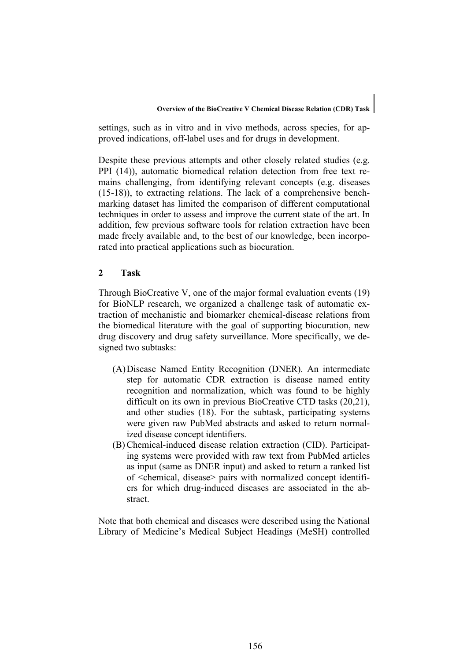settings, such as in vitro and in vivo methods, across species, for approved indications, off-label uses and for drugs in development.

Despite these previous attempts and other closely related studies (e.g. PPI (14)), automatic biomedical relation detection from free text remains challenging, from identifying relevant concepts (e.g. diseases (15-18)), to extracting relations. The lack of a comprehensive benchmarking dataset has limited the comparison of different computational techniques in order to assess and improve the current state of the art. In addition, few previous software tools for relation extraction have been made freely available and, to the best of our knowledge, been incorporated into practical applications such as biocuration.

# **2 Task**

Through BioCreative V, one of the major formal evaluation events (19) for BioNLP research, we organized a challenge task of automatic extraction of mechanistic and biomarker chemical-disease relations from the biomedical literature with the goal of supporting biocuration, new drug discovery and drug safety surveillance. More specifically, we designed two subtasks:

- (A)Disease Named Entity Recognition (DNER). An intermediate step for automatic CDR extraction is disease named entity recognition and normalization, which was found to be highly difficult on its own in previous BioCreative CTD tasks (20,21), and other studies (18). For the subtask, participating systems were given raw PubMed abstracts and asked to return normalized disease concept identifiers.
- (B) Chemical-induced disease relation extraction (CID). Participating systems were provided with raw text from PubMed articles as input (same as DNER input) and asked to return a ranked list of <chemical, disease> pairs with normalized concept identifiers for which drug-induced diseases are associated in the abstract.

Note that both chemical and diseases were described using the National Library of Medicine's Medical Subject Headings (MeSH) controlled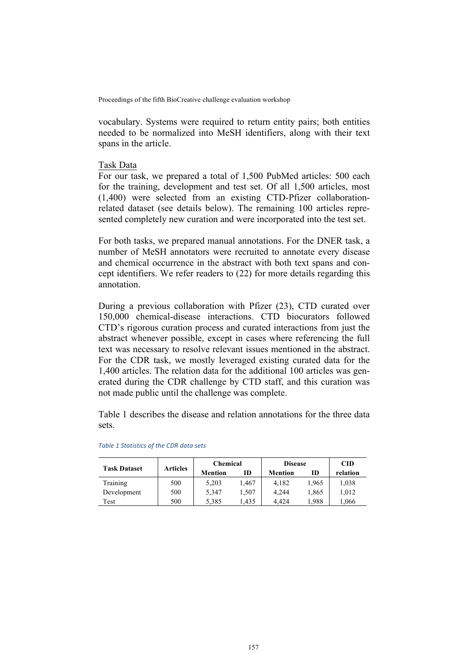vocabulary. Systems were required to return entity pairs; both entities needed to be normalized into MeSH identifiers, along with their text spans in the article.

# Task Data

For our task, we prepared a total of 1,500 PubMed articles: 500 each for the training, development and test set. Of all 1,500 articles, most (1,400) were selected from an existing CTD-Pfizer collaborationrelated dataset (see details below). The remaining 100 articles represented completely new curation and were incorporated into the test set.

For both tasks, we prepared manual annotations. For the DNER task, a number of MeSH annotators were recruited to annotate every disease and chemical occurrence in the abstract with both text spans and concept identifiers. We refer readers to (22) for more details regarding this annotation.

During a previous collaboration with Pfizer (23), CTD curated over 150,000 chemical-disease interactions. CTD biocurators followed CTD's rigorous curation process and curated interactions from just the abstract whenever possible, except in cases where referencing the full text was necessary to resolve relevant issues mentioned in the abstract. For the CDR task, we mostly leveraged existing curated data for the 1,400 articles. The relation data for the additional 100 articles was generated during the CDR challenge by CTD staff, and this curation was not made public until the challenge was complete.

Table 1 describes the disease and relation annotations for the three data sets.

|                     | <b>Articles</b> | <b>Chemical</b> |       | <b>Disease</b> | <b>CID</b> |          |
|---------------------|-----------------|-----------------|-------|----------------|------------|----------|
| <b>Task Dataset</b> |                 | Mention         | ID    | Mention        | ID         | relation |
| Training            | 500             | 5,203           | 1.467 | 4.182          | 1.965      | 1,038    |
| Development         | 500             | 5,347           | 1.507 | 4.244          | 1,865      | 1,012    |
| Test                | 500             | 5,385           | .435  | 4.424          | 1.988      | .066     |

#### *Table 1 Statistics of the CDR data sets*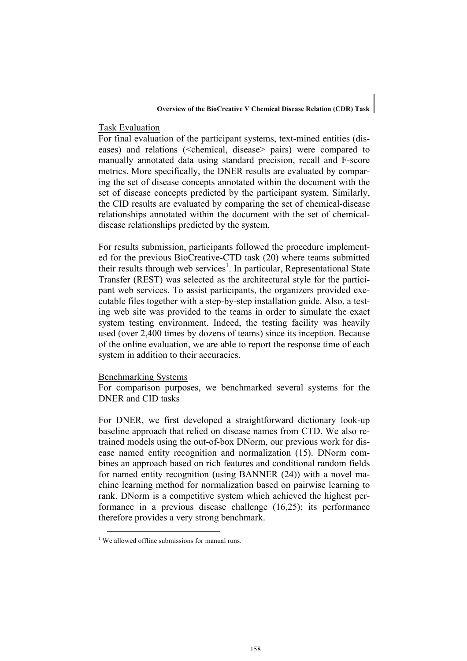#### **Overview of the BioCreative V Chemical Disease Relation (CDR) Task**

#### Task Evaluation

For final evaluation of the participant systems, text-mined entities (diseases) and relations (<chemical, disease> pairs) were compared to manually annotated data using standard precision, recall and F-score metrics. More specifically, the DNER results are evaluated by comparing the set of disease concepts annotated within the document with the set of disease concepts predicted by the participant system. Similarly, the CID results are evaluated by comparing the set of chemical-disease relationships annotated within the document with the set of chemicaldisease relationships predicted by the system.

For results submission, participants followed the procedure implemented for the previous BioCreative-CTD task (20) where teams submitted their results through web services<sup>1</sup>. In particular, Representational State Transfer (REST) was selected as the architectural style for the participant web services. To assist participants, the organizers provided executable files together with a step-by-step installation guide. Also, a testing web site was provided to the teams in order to simulate the exact system testing environment. Indeed, the testing facility was heavily used (over 2,400 times by dozens of teams) since its inception. Because of the online evaluation, we are able to report the response time of each system in addition to their accuracies.

# Benchmarking Systems

For comparison purposes, we benchmarked several systems for the DNER and CID tasks

For DNER, we first developed a straightforward dictionary look-up baseline approach that relied on disease names from CTD. We also retrained models using the out-of-box DNorm, our previous work for disease named entity recognition and normalization (15). DNorm combines an approach based on rich features and conditional random fields for named entity recognition (using BANNER (24)) with a novel machine learning method for normalization based on pairwise learning to rank. DNorm is a competitive system which achieved the highest performance in a previous disease challenge (16,25); its performance therefore provides a very strong benchmark.

 $<sup>1</sup>$  We allowed offline submissions for manual runs.</sup>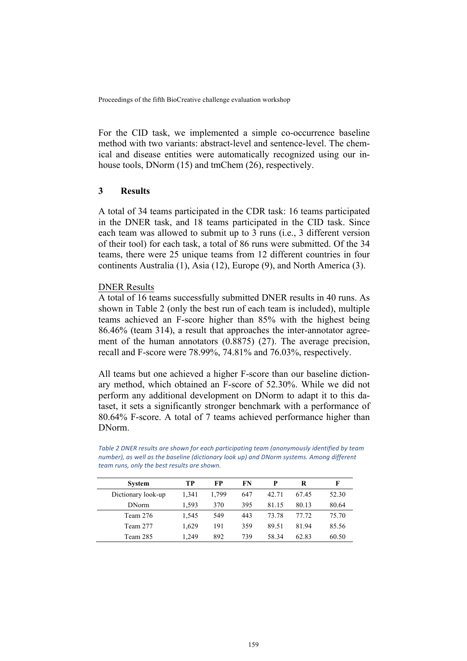For the CID task, we implemented a simple co-occurrence baseline method with two variants: abstract-level and sentence-level. The chemical and disease entities were automatically recognized using our inhouse tools, DNorm (15) and tmChem (26), respectively.

# **3 Results**

A total of 34 teams participated in the CDR task: 16 teams participated in the DNER task, and 18 teams participated in the CID task. Since each team was allowed to submit up to 3 runs (i.e., 3 different version of their tool) for each task, a total of 86 runs were submitted. Of the 34 teams, there were 25 unique teams from 12 different countries in four continents Australia (1), Asia (12), Europe (9), and North America (3).

# DNER Results

A total of 16 teams successfully submitted DNER results in 40 runs. As shown in Table 2 (only the best run of each team is included), multiple teams achieved an F-score higher than 85% with the highest being 86.46% (team 314), a result that approaches the inter-annotator agreement of the human annotators (0.8875) (27). The average precision, recall and F-score were 78.99%, 74.81% and 76.03%, respectively.

All teams but one achieved a higher F-score than our baseline dictionary method, which obtained an F-score of 52.30%. While we did not perform any additional development on DNorm to adapt it to this dataset, it sets a significantly stronger benchmark with a performance of 80.64% F-score. A total of 7 teams achieved performance higher than DNorm.

Table 2 DNER results are shown for each participating team (anonymously identified by team *number), as well as the baseline (dictionary look up) and DNorm systems. Among different team runs*, *only the best results are shown.* 

| <b>System</b>      | TР    | FP    | FN  | p     | R     | F     |
|--------------------|-------|-------|-----|-------|-------|-------|
| Dictionary look-up | 1.341 | 1,799 | 647 | 42.71 | 67.45 | 52.30 |
| <b>DNorm</b>       | 1.593 | 370   | 395 | 81.15 | 80.13 | 80.64 |
| Team 276           | 1.545 | 549   | 443 | 73.78 | 77.72 | 75.70 |
| Team 277           | 1.629 | 191   | 359 | 89.51 | 81.94 | 85.56 |
| Team 285           | 1.249 | 892   | 739 | 58.34 | 62.83 | 60.50 |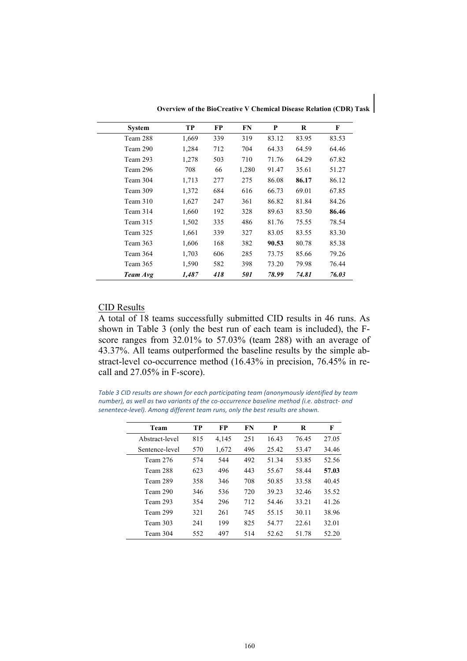| <b>System</b> | TP    | FP  | FN    | P     | R     | F     |
|---------------|-------|-----|-------|-------|-------|-------|
| Team 288      | 1,669 | 339 | 319   | 83.12 | 83.95 | 83.53 |
| Team 290      | 1,284 | 712 | 704   | 64.33 | 64.59 | 64.46 |
| Team 293      | 1,278 | 503 | 710   | 71.76 | 64.29 | 67.82 |
| Team 296      | 708   | 66  | 1,280 | 91.47 | 35.61 | 51.27 |
| Team 304      | 1,713 | 277 | 275   | 86.08 | 86.17 | 86.12 |
| Team 309      | 1,372 | 684 | 616   | 66.73 | 69.01 | 67.85 |
| Team 310      | 1,627 | 247 | 361   | 86.82 | 81.84 | 84.26 |
| Team 314      | 1,660 | 192 | 328   | 89.63 | 83.50 | 86.46 |
| Team 315      | 1,502 | 335 | 486   | 81.76 | 75.55 | 78.54 |
| Team 325      | 1,661 | 339 | 327   | 83.05 | 83.55 | 83.30 |
| Team 363      | 1,606 | 168 | 382   | 90.53 | 80.78 | 85.38 |
| Team 364      | 1,703 | 606 | 285   | 73.75 | 85.66 | 79.26 |
| Team 365      | 1,590 | 582 | 398   | 73.20 | 79.98 | 76.44 |
| Team Avg      | 1,487 | 418 | 501   | 78.99 | 74.81 | 76.03 |

**Overview of the BioCreative V Chemical Disease Relation (CDR) Task**

# CID Results

A total of 18 teams successfully submitted CID results in 46 runs. As shown in Table 3 (only the best run of each team is included), the Fscore ranges from 32.01% to 57.03% (team 288) with an average of 43.37%. All teams outperformed the baseline results by the simple abstract-level co-occurrence method (16.43% in precision, 76.45% in recall and 27.05% in F-score).

Table 3 CID results are shown for each participating team (anonymously identified by team number), as well as two variants of the co-occurrence baseline method *(i.e. abstract-* and *senentece-level).* Among different *team runs, only the best results are shown.* 

| Team           | TР  | FP    | FN  | P     | R     | F     |
|----------------|-----|-------|-----|-------|-------|-------|
| Abstract-level | 815 | 4,145 | 251 | 16.43 | 76.45 | 27.05 |
| Sentence-level | 570 | 1,672 | 496 | 25.42 | 53.47 | 34.46 |
| Team 276       | 574 | 544   | 492 | 51.34 | 53.85 | 52.56 |
| Team 288       | 623 | 496   | 443 | 55.67 | 58.44 | 57.03 |
| Team 289       | 358 | 346   | 708 | 50.85 | 33.58 | 40.45 |
| Team 290       | 346 | 536   | 720 | 39.23 | 32.46 | 35.52 |
| Team 293       | 354 | 296   | 712 | 54.46 | 33.21 | 41.26 |
| Team 299       | 321 | 261   | 745 | 55.15 | 30.11 | 38.96 |
| Team 303       | 241 | 199   | 825 | 54.77 | 22.61 | 32.01 |
| Team 304       | 552 | 497   | 514 | 52.62 | 51.78 | 52.20 |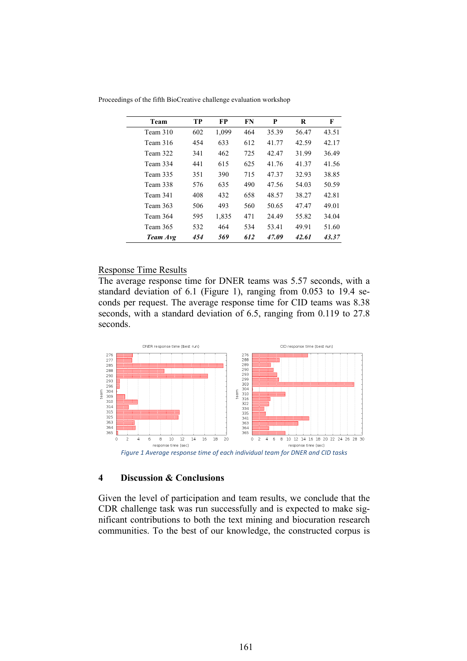| Team     | TP  | <b>FP</b> | FN  | P     | R     | F     |
|----------|-----|-----------|-----|-------|-------|-------|
| Team 310 | 602 | 1,099     | 464 | 35.39 | 56.47 | 43.51 |
| Team 316 | 454 | 633       | 612 | 41.77 | 42.59 | 42.17 |
| Team 322 | 341 | 462       | 725 | 42.47 | 31.99 | 36.49 |
| Team 334 | 441 | 615       | 625 | 41.76 | 41.37 | 41.56 |
| Team 335 | 351 | 390       | 715 | 47.37 | 32.93 | 38.85 |
| Team 338 | 576 | 635       | 490 | 47.56 | 54.03 | 50.59 |
| Team 341 | 408 | 432       | 658 | 48.57 | 38.27 | 42.81 |
| Team 363 | 506 | 493       | 560 | 50.65 | 47.47 | 49.01 |
| Team 364 | 595 | 1,835     | 471 | 24.49 | 55.82 | 34.04 |
| Team 365 | 532 | 464       | 534 | 53.41 | 49.91 | 51.60 |
| Team Avg | 454 | 569       | 612 | 47.09 | 42.61 | 43.37 |
|          |     |           |     |       |       |       |

Proceedings of the fifth BioCreative challenge evaluation workshop

### Response Time Results

The average response time for DNER teams was 5.57 seconds, with a standard deviation of 6.1 (Figure 1), ranging from 0.053 to 19.4 seconds per request. The average response time for CID teams was 8.38 seconds, with a standard deviation of 6.5, ranging from 0.119 to 27.8 seconds.



# **4 Discussion & Conclusions**

Given the level of participation and team results, we conclude that the CDR challenge task was run successfully and is expected to make significant contributions to both the text mining and biocuration research communities. To the best of our knowledge, the constructed corpus is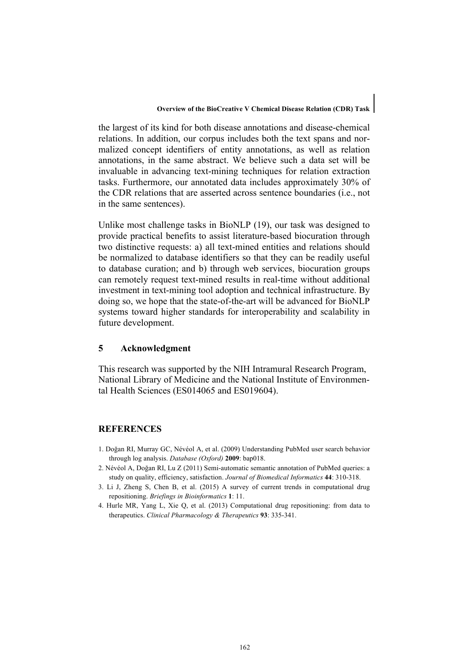the largest of its kind for both disease annotations and disease-chemical relations. In addition, our corpus includes both the text spans and normalized concept identifiers of entity annotations, as well as relation annotations, in the same abstract. We believe such a data set will be invaluable in advancing text-mining techniques for relation extraction tasks. Furthermore, our annotated data includes approximately 30% of the CDR relations that are asserted across sentence boundaries (i.e., not in the same sentences).

Unlike most challenge tasks in BioNLP (19), our task was designed to provide practical benefits to assist literature-based biocuration through two distinctive requests: a) all text-mined entities and relations should be normalized to database identifiers so that they can be readily useful to database curation; and b) through web services, biocuration groups can remotely request text-mined results in real-time without additional investment in text-mining tool adoption and technical infrastructure. By doing so, we hope that the state-of-the-art will be advanced for BioNLP systems toward higher standards for interoperability and scalability in future development.

### **5 Acknowledgment**

This research was supported by the NIH Intramural Research Program, National Library of Medicine and the National Institute of Environmental Health Sciences (ES014065 and ES019604).

# **REFERENCES**

- 1. Doğan RI, Murray GC, Névéol A, et al. (2009) Understanding PubMed user search behavior through log analysis. *Database (Oxford)* **2009**: bap018.
- 2. Névéol A, Doğan RI, Lu Z (2011) Semi-automatic semantic annotation of PubMed queries: a study on quality, efficiency, satisfaction. *Journal of Biomedical Informatics* **44**: 310-318.
- 3. Li J, Zheng S, Chen B, et al. (2015) A survey of current trends in computational drug repositioning. *Briefings in Bioinformatics* **1**: 11.
- 4. Hurle MR, Yang L, Xie Q, et al. (2013) Computational drug repositioning: from data to therapeutics. *Clinical Pharmacology & Therapeutics* **93**: 335-341.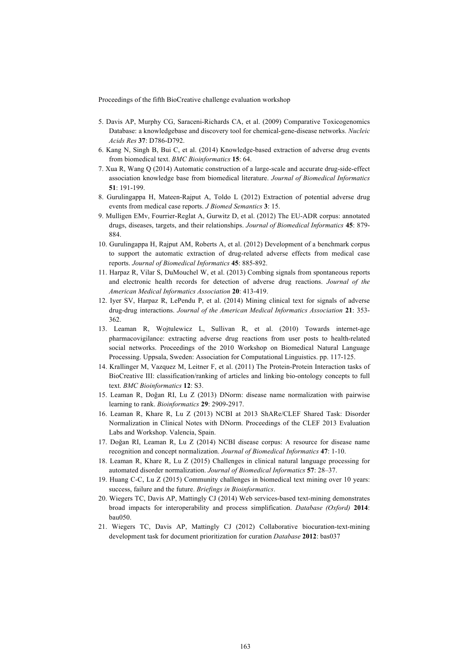- 5. Davis AP, Murphy CG, Saraceni-Richards CA, et al. (2009) Comparative Toxicogenomics Database: a knowledgebase and discovery tool for chemical-gene-disease networks. *Nucleic Acids Res* **37**: D786-D792.
- 6. Kang N, Singh B, Bui C, et al. (2014) Knowledge-based extraction of adverse drug events from biomedical text. *BMC Bioinformatics* **15**: 64.
- 7. Xua R, Wang Q (2014) Automatic construction of a large-scale and accurate drug-side-effect association knowledge base from biomedical literature. *Journal of Biomedical Informatics* **51**: 191-199.
- 8. Gurulingappa H, Mateen-Rajput A, Toldo L (2012) Extraction of potential adverse drug events from medical case reports. *J Biomed Semantics* **3**: 15.
- 9. Mulligen EMv, Fourrier-Reglat A, Gurwitz D, et al. (2012) The EU-ADR corpus: annotated drugs, diseases, targets, and their relationships. *Journal of Biomedical Informatics* **45**: 879- 884.
- 10. Gurulingappa H, Rajput AM, Roberts A, et al. (2012) Development of a benchmark corpus to support the automatic extraction of drug-related adverse effects from medical case reports. *Journal of Biomedical Informatics* **45**: 885-892.
- 11. Harpaz R, Vilar S, DuMouchel W, et al. (2013) Combing signals from spontaneous reports and electronic health records for detection of adverse drug reactions. *Journal of the American Medical Informatics Association* **20**: 413-419.
- 12. Iyer SV, Harpaz R, LePendu P, et al. (2014) Mining clinical text for signals of adverse drug-drug interactions. *Journal of the American Medical Informatics Association* **21**: 353- 362.
- 13. Leaman R, Wojtulewicz L, Sullivan R, et al. (2010) Towards internet-age pharmacovigilance: extracting adverse drug reactions from user posts to health-related social networks. Proceedings of the 2010 Workshop on Biomedical Natural Language Processing. Uppsala, Sweden: Association for Computational Linguistics. pp. 117-125.
- 14. Krallinger M, Vazquez M, Leitner F, et al. (2011) The Protein-Protein Interaction tasks of BioCreative III: classification/ranking of articles and linking bio-ontology concepts to full text. *BMC Bioinformatics* **12**: S3.
- 15. Leaman R, Doğan RI, Lu Z (2013) DNorm: disease name normalization with pairwise learning to rank. *Bioinformatics* **29**: 2909-2917.
- 16. Leaman R, Khare R, Lu Z (2013) NCBI at 2013 ShARe/CLEF Shared Task: Disorder Normalization in Clinical Notes with DNorm. Proceedings of the CLEF 2013 Evaluation Labs and Workshop. Valencia, Spain.
- 17. Doğan RI, Leaman R, Lu Z (2014) NCBI disease corpus: A resource for disease name recognition and concept normalization. *Journal of Biomedical Informatics* **47**: 1-10.
- 18. Leaman R, Khare R, Lu Z (2015) Challenges in clinical natural language processing for automated disorder normalization. *Journal of Biomedical Informatics* **57**: 28–37.
- 19. Huang C-C, Lu Z (2015) Community challenges in biomedical text mining over 10 years: success, failure and the future. *Briefings in Bioinformatics*.
- 20. Wiegers TC, Davis AP, Mattingly CJ (2014) Web services-based text-mining demonstrates broad impacts for interoperability and process simplification. *Database (Oxford)* **2014**: bau050.
- 21. Wiegers TC, Davis AP, Mattingly CJ (2012) Collaborative biocuration-text-mining development task for document prioritization for curation *Database* **2012**: bas037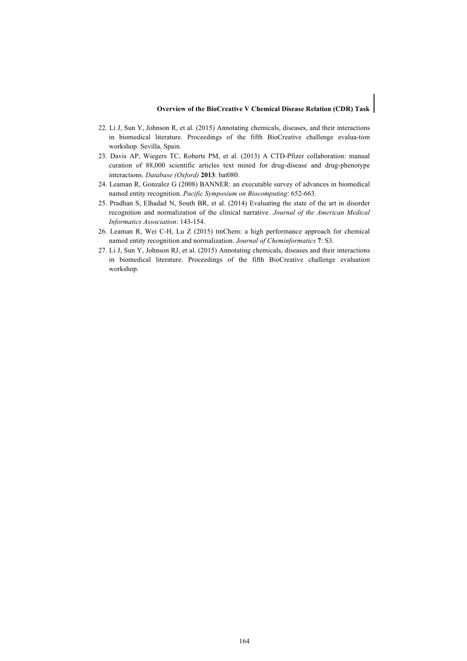#### **Overview of the BioCreative V Chemical Disease Relation (CDR) Task**

- 22. Li J, Sun Y, Johnson R, et al. (2015) Annotating chemicals, diseases, and their interactions in biomedical literature. Proceedings of the fifth BioCreative challenge evalua-tion workshop. Sevilla, Spain.
- 23. Davis AP, Wiegers TC, Roberts PM, et al. (2013) A CTD-Pfizer collaboration: manual curation of 88,000 scientific articles text mined for drug-disease and drug-phenotype interactions. *Database (Oxford)* **2013**: bat080.
- 24. Leaman R, Gonzalez G (2008) BANNER: an executable survey of advances in biomedical named entity recognition. *Pacific Symposium on Biocomputing*: 652-663.
- 25. Pradhan S, Elhadad N, South BR, et al. (2014) Evaluating the state of the art in disorder recognition and normalization of the clinical narrative. *Journal of the American Medical Informatics Association*: 143-154.
- 26. Leaman R, Wei C-H, Lu Z (2015) tmChem: a high performance approach for chemical named entity recognition and normalization. *Journal of Cheminformatics* **7**: S3.
- 27. Li J, Sun Y, Johnson RJ, et al. (2015) Annotating chemicals, diseases and their interactions in biomedical literature. Proceedings of the fifth BioCreative challenge evaluation workshop.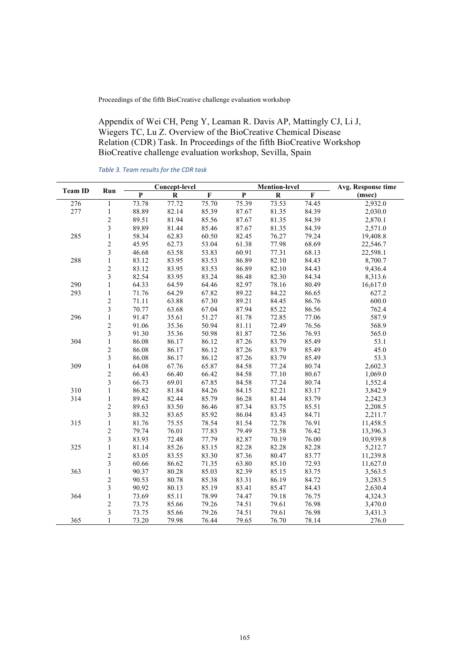Appendix of Wei CH, Peng Y, Leaman R. Davis AP, Mattingly CJ, Li J, Wiegers TC, Lu Z. Overview of the BioCreative Chemical Disease Relation (CDR) Task. In Proceedings of the fifth BioCreative Workshop BioCreative challenge evaluation workshop, Sevilla, Spain

|                 |                         |       | Concept-level |                    |                    | <b>Mention-level</b> |       | Avg. Response time |
|-----------------|-------------------------|-------|---------------|--------------------|--------------------|----------------------|-------|--------------------|
| <b>Team ID</b>  | Run                     | P     | ${\bf R}$     | $\mathbf F$        | $\mathbf P$        | ${\bf R}$            | F     | (msec)             |
| $\frac{276}{ }$ | $\,1$                   | 73.78 | 77.72         | $\overline{75.70}$ | $\overline{75.39}$ | 73.53                | 74.45 | 2,932.0            |
| 277             | $\,1$                   | 88.89 | 82.14         | 85.39              | 87.67              | 81.35                | 84.39 | 2,030.0            |
|                 | $\overline{c}$          | 89.51 | 81.94         | 85.56              | 87.67              | 81.35                | 84.39 | 2,870.1            |
|                 | 3                       | 89.89 | 81.44         | 85.46              | 87.67              | 81.35                | 84.39 | 2,571.0            |
| 285             | $\,1$                   | 58.34 | 62.83         | 60.50              | 82.45              | 76.27                | 79.24 | 19,408.8           |
|                 | $\overline{\mathbf{c}}$ | 45.95 | 62.73         | 53.04              | 61.38              | 77.98                | 68.69 | 22,546.7           |
|                 | $\overline{\mathbf{3}}$ | 46.68 | 63.58         | 53.83              | 60.91              | 77.31                | 68.13 | 22,598.1           |
| 288             | $\mathbf{1}$            | 83.12 | 83.95         | 83.53              | 86.89              | 82.10                | 84.43 | 8,700.7            |
|                 | $\overline{c}$          | 83.12 | 83.95         | 83.53              | 86.89              | 82.10                | 84.43 | 9,436.4            |
|                 | 3                       | 82.54 | 83.95         | 83.24              | 86.48              | 82.30                | 84.34 | 8,313.6            |
| 290             | $\,1$                   | 64.33 | 64.59         | 64.46              | 82.97              | 78.16                | 80.49 | 16,617.0           |
| 293             | $\,1$                   | 71.76 | 64.29         | 67.82              | 89.22              | 84.22                | 86.65 | 627.2              |
|                 | $\overline{c}$          | 71.11 | 63.88         | 67.30              | 89.21              | 84.45                | 86.76 | 600.0              |
|                 | $\overline{\mathbf{3}}$ | 70.77 | 63.68         | 67.04              | 87.94              | 85.22                | 86.56 | 762.4              |
| 296             | $\,1$                   | 91.47 | 35.61         | 51.27              | 81.78              | 72.85                | 77.06 | 587.9              |
|                 | $\overline{\mathbf{c}}$ | 91.06 | 35.36         | 50.94              | 81.11              | 72.49                | 76.56 | 568.9              |
|                 | $\overline{\mathbf{3}}$ | 91.30 | 35.36         | 50.98              | 81.87              | 72.56                | 76.93 | 565.0              |
| 304             | $\,1$                   | 86.08 | 86.17         | 86.12              | 87.26              | 83.79                | 85.49 | 53.1               |
|                 |                         | 86.08 | 86.17         | 86.12              | 87.26              | 83.79                | 85.49 | 45.0               |
|                 | $\frac{2}{3}$           | 86.08 | 86.17         | 86.12              | 87.26              | 83.79                | 85.49 | 53.3               |
| 309             | $\mathbf{1}$            | 64.08 | 67.76         | 65.87              | 84.58              | 77.24                | 80.74 | 2,602.3            |
|                 | $\overline{c}$          | 66.43 | 66.40         | 66.42              | 84.58              | 77.10                | 80.67 | 1,069.0            |
|                 | $\overline{\mathbf{3}}$ | 66.73 | 69.01         | 67.85              | 84.58              | 77.24                | 80.74 | 1,552.4            |
| 310             | $\,1$                   | 86.82 | 81.84         | 84.26              | 84.15              | 82.21                | 83.17 | 3,842.9            |
| 314             | $\,1$                   | 89.42 | 82.44         | 85.79              | 86.28              | 81.44                | 83.79 | 2,242.3            |
|                 | $\overline{c}$          | 89.63 | 83.50         | 86.46              | 87.34              | 83.75                | 85.51 | 2,208.5            |
|                 | 3                       | 88.32 | 83.65         | 85.92              | 86.04              | 83.43                | 84.71 | 2,211.7            |
| 315             | $\,1$                   | 81.76 | 75.55         | 78.54              | 81.54              | 72.78                | 76.91 | 11,458.5           |
|                 | $\overline{c}$          | 79.74 | 76.01         | 77.83              | 79.49              | 73.58                | 76.42 | 13,396.3           |
|                 | $\overline{\mathbf{3}}$ | 83.93 | 72.48         | 77.79              | 82.87              | 70.19                | 76.00 | 10,939.8           |
| 325             | $\,1$                   | 81.14 | 85.26         | 83.15              | 82.28              | 82.28                | 82.28 | 5,212.7            |
|                 |                         | 83.05 | 83.55         | 83.30              | 87.36              | 80.47                | 83.77 | 11,239.8           |
|                 | $\frac{2}{3}$           | 60.66 | 86.62         | 71.35              | 63.80              | 85.10                | 72.93 | 11,627.0           |
| 363             | $\mathbf{1}$            | 90.37 | 80.28         | 85.03              | 82.39              | 85.15                | 83.75 | 3,563.5            |
|                 | $\overline{c}$          | 90.53 | 80.78         | 85.38              | 83.31              | 86.19                | 84.72 | 3,283.5            |
|                 | $\overline{\mathbf{3}}$ | 90.92 | 80.13         | 85.19              | 83.41              | 85.47                | 84.43 | 2,630.4            |
| 364             | $\,1$                   | 73.69 | 85.11         | 78.99              | 74.47              | 79.18                | 76.75 | 4,324.3            |
|                 | $\overline{c}$          | 73.75 | 85.66         | 79.26              | 74.51              | 79.61                | 76.98 | 3,470.0            |
|                 | $\overline{\mathbf{3}}$ | 73.75 | 85.66         | 79.26              | 74.51              | 79.61                | 76.98 | 3,431.3            |
| 365             | $\mathbf{1}$            | 73.20 | 79.98         | 76.44              | 79.65              | 76.70                | 78.14 | 276.0              |

*Table 3. Team results for the CDR task*